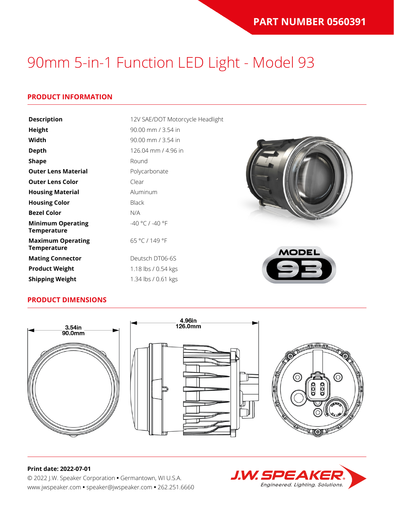### **PRODUCT INFORMATION**

| <b>Description</b>                             | 12V SAE/DOT Motorcycle Headlight |              |
|------------------------------------------------|----------------------------------|--------------|
| <b>Height</b>                                  | 90.00 mm / 3.54 in               |              |
| Width                                          | 90.00 mm / 3.54 in               |              |
| <b>Depth</b>                                   | 126.04 mm / 4.96 in              |              |
| <b>Shape</b>                                   | Round                            |              |
| <b>Outer Lens Material</b>                     | Polycarbonate                    |              |
| <b>Outer Lens Color</b>                        | Clear                            |              |
| <b>Housing Material</b>                        | Aluminum                         |              |
| <b>Housing Color</b>                           | <b>Black</b>                     |              |
| <b>Bezel Color</b>                             | N/A                              |              |
| <b>Minimum Operating</b><br><b>Temperature</b> | $-40 °C / -40 °F$                |              |
| <b>Maximum Operating</b><br><b>Temperature</b> | 65 °C / 149 °F                   | <b>MODEL</b> |
| <b>Mating Connector</b>                        | Deutsch DT06-6S                  |              |
| <b>Product Weight</b>                          | 1.18 lbs / 0.54 kgs              |              |
| <b>Shipping Weight</b>                         | 1.34 lbs / 0.61 kgs              |              |

#### **PRODUCT DIMENSIONS**



#### **Print date: 2022-07-01**

© 2022 J.W. Speaker Corporation **•** Germantown, WI U.S.A. www.jwspeaker.com **•** speaker@jwspeaker.com **•** 262.251.6660

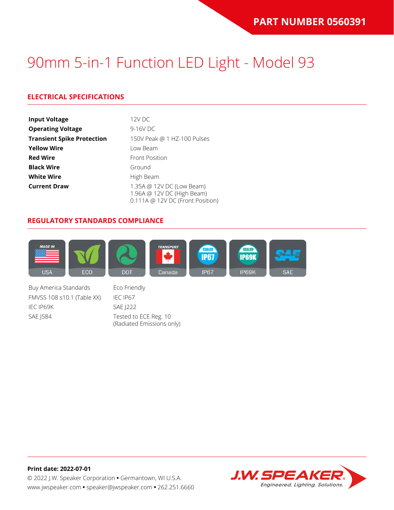### **ELECTRICAL SPECIFICATIONS**

| <b>Input Voltage</b>              | 12V DC                                                                                      |
|-----------------------------------|---------------------------------------------------------------------------------------------|
| <b>Operating Voltage</b>          | 9-16V DC                                                                                    |
| <b>Transient Spike Protection</b> | 150V Peak @ 1 HZ-100 Pulses                                                                 |
| <b>Yellow Wire</b>                | Low Beam                                                                                    |
| <b>Red Wire</b>                   | <b>Front Position</b>                                                                       |
| <b>Black Wire</b>                 | Ground                                                                                      |
| <b>White Wire</b>                 | High Beam                                                                                   |
| <b>Current Draw</b>               | 1.35A @ 12V DC (Low Beam)<br>1.96A @ 12V DC (High Beam)<br>0.111A @ 12V DC (Front Position) |

#### **REGULATORY STANDARDS COMPLIANCE**



Buy America Standards Eco Friendly FMVSS 108 s10.1 (Table XX) IEC IP67 IEC IP69K SAE J222 SAE J584 Tested to ECE Reg. 10

(Radiated Emissions only)

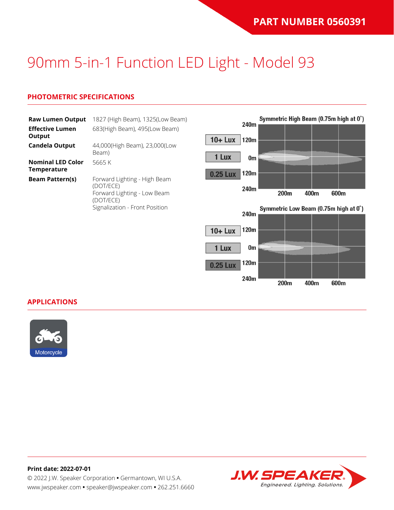### **PHOTOMETRIC SPECIFICATIONS**

| <b>Raw Lumen Output</b><br><b>Effective Lumen</b> | 1827 (High Beam), 1325(Low Beam)<br>683(High Beam), 495(Low Beam)                     | 240m                        |    |      |      | Symmetric High Beam (0.75m high at 0°) |
|---------------------------------------------------|---------------------------------------------------------------------------------------|-----------------------------|----|------|------|----------------------------------------|
| Output<br><b>Candela Output</b>                   | 44,000(High Beam), 23,000(Low<br>Beam)                                                | $10 +$ Lux<br>120m<br>1 Lux |    |      |      |                                        |
| <b>Nominal LED Color</b><br><b>Temperature</b>    | 5665K                                                                                 | 120m<br><b>0.25 Lux</b>     | 0m |      |      |                                        |
| <b>Beam Pattern(s)</b>                            | Forward Lighting - High Beam<br>(DOT/ECE)<br>Forward Lighting - Low Beam<br>(DOT/ECE) | 240m                        |    | 200m | 400m | 600m                                   |
|                                                   | Signalization - Front Position                                                        | 240m                        |    |      |      | Symmetric Low Beam (0.75m high at 0°)  |
|                                                   |                                                                                       | 120m<br>$10 +$ Lux          |    |      |      |                                        |
|                                                   |                                                                                       | 1 Lux<br>0m                 |    |      |      |                                        |

120m

240m

200m

400m

600m

0.25 Lux

#### **APPLICATIONS**



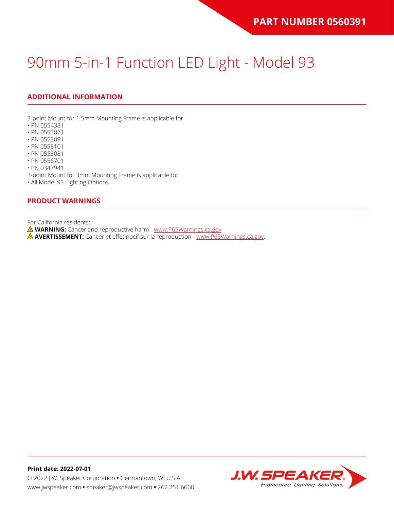## **ADDITIONAL INFORMATION**

3-point Mount for 1.5mm Mounting Frame is applicable for

- PN 0554381
- PN 0553071
- PN 0553091
- PN 0553101
- PN 0553081
- PN 0556701

• PN 0347941

3-point Mount for 3mm Mounting Frame is applicable for

• All Model 93 Lighting Options

#### **PRODUCT WARNINGS**

For California residents:

**WARNING:** Cancer and reproductive harm - [www.P65Warnings.ca.gov](https://www.p65warnings.ca.gov/).

**AVERTISSEMENT:** Cancer et effet nocif sur la reproduction - [www.P65Warnings.ca.gov.](https://www.p65warnings.ca.gov/)

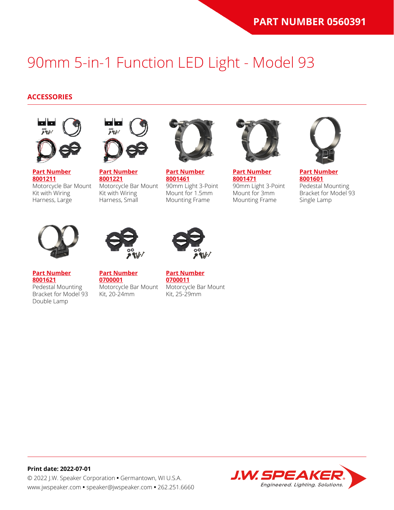#### **ACCESSORIES**



**[Part Number](https://www.jwspeaker.com/products/90mm-headlights-model-93/8001211/) [8001211](https://www.jwspeaker.com/products/90mm-headlights-model-93/8001211/)** Motorcycle Bar Mount Kit with Wiring Harness, Large



**[Part Number](https://www.jwspeaker.com/products/90mm-headlights-model-93/8001221/) [8001221](https://www.jwspeaker.com/products/90mm-headlights-model-93/8001221/)** Motorcycle Bar Mount Kit with Wiring Harness, Small



**[Part Number](https://www.jwspeaker.com/products/90mm-headlights-model-93/8001461/) [8001461](https://www.jwspeaker.com/products/90mm-headlights-model-93/8001461/)** 90mm Light 3-Point Mount for 1.5mm Mounting Frame



**[Part Number](https://www.jwspeaker.com/products/90mm-headlights-model-93/8001471/) [8001471](https://www.jwspeaker.com/products/90mm-headlights-model-93/8001471/)** 90mm Light 3-Point Mount for 3mm Mounting Frame



**[Part Number](https://www.jwspeaker.com/products/90mm-headlights-model-93/8001601/) [8001601](https://www.jwspeaker.com/products/90mm-headlights-model-93/8001601/)** Pedestal Mounting Bracket for Model 93 Single Lamp



**[Part Number](https://www.jwspeaker.com/products/90mm-headlights-model-93/8001621/) [8001621](https://www.jwspeaker.com/products/90mm-headlights-model-93/8001621/)**

Double Lamp



**[Part Number](https://www.jwspeaker.com/?post_type=part&p=26513&preview=true) [0700001](https://www.jwspeaker.com/?post_type=part&p=26513&preview=true)** Pedestal Mounting Bracket for Model 93 Motorcycle Bar Mount Kit, 20-24mm



**[Part Number](https://www.jwspeaker.com/?post_type=part&p=26512&preview=true) [0700011](https://www.jwspeaker.com/?post_type=part&p=26512&preview=true)** Motorcycle Bar Mount Kit, 25-29mm